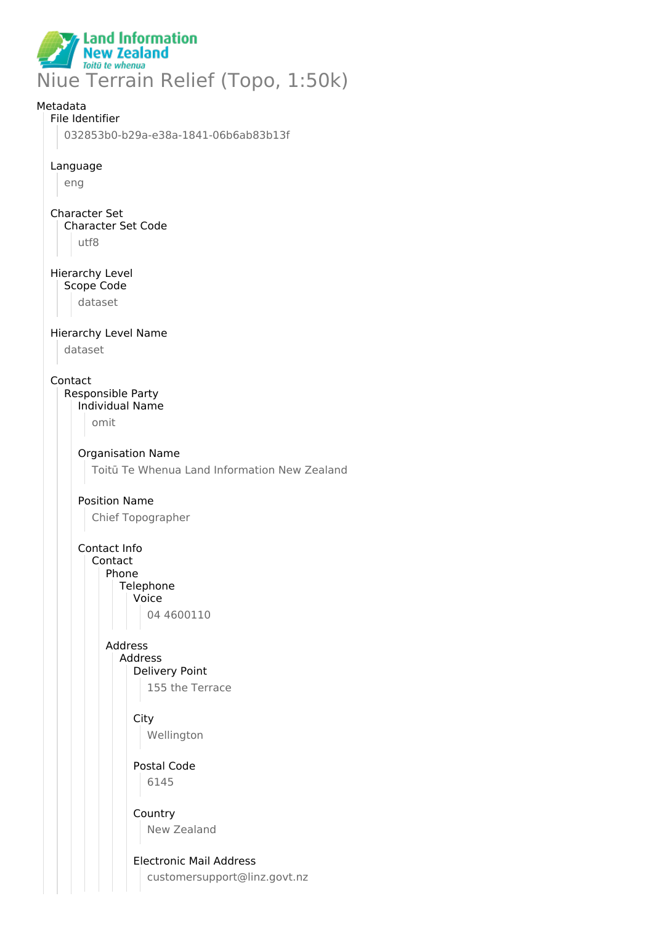

# Metadata File Identifier 032853b0-b29a-e38a-1841-06b6ab83b13f Language eng Character Set Character Set Code utf8 Hierarchy Level Scope Code dataset Hierarchy Level Name dataset Contact Responsible Party Individual Name omit Organisation Name Toitū Te Whenua Land Information New Zealand Position Name Chief Topographer Contact Info Contact Phone **Telephone** Voice 04 4600110 Address Address Delivery Point 155 the Terrace **City** Wellington Postal Code 6145 Country New Zealand Electronic Mail Address customersupport@linz.govt.nz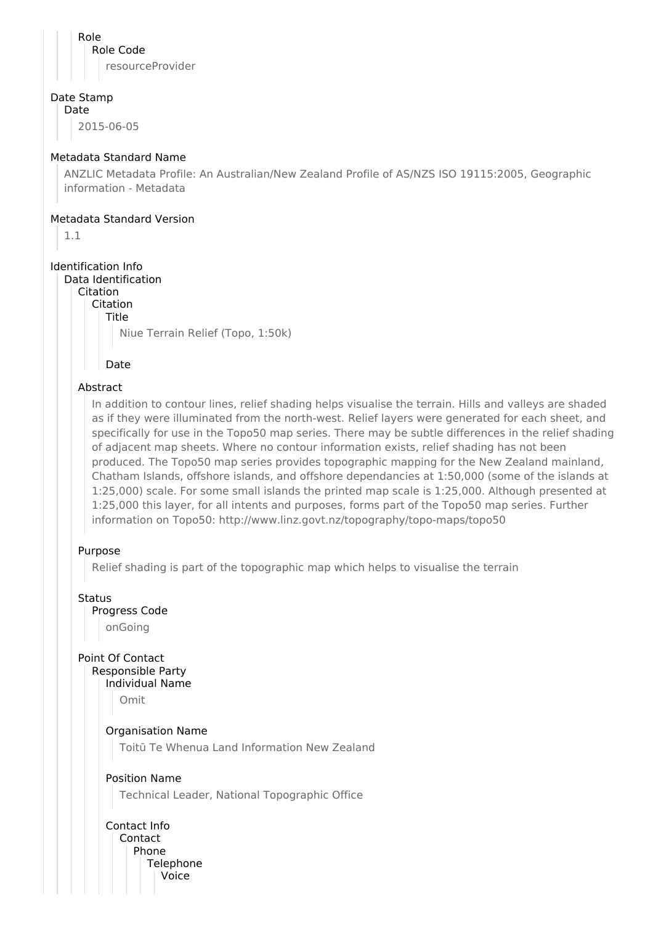Role Role Code resourceProvider

#### Date Stamp

Date 2015-06-05

#### Metadata Standard Name

ANZLIC Metadata Profile: An Australian/New Zealand Profile of AS/NZS ISO 19115:2005, Geographic information - Metadata

#### Metadata Standard Version

1.1

## Identification Info

Data Identification Citation

Citation

Title

Niue Terrain Relief (Topo, 1:50k)

Date

## Abstract

In addition to contour lines, relief shading helps visualise the terrain. Hills and valleys are shaded as if they were illuminated from the north-west. Relief layers were generated for each sheet, and specifically for use in the Topo50 map series. There may be subtle differences in the relief shading of adjacent map sheets. Where no contour information exists, relief shading has not been produced. The Topo50 map series provides topographic mapping for the New Zealand mainland, Chatham Islands, offshore islands, and offshore dependancies at 1:50,000 (some of the islands at 1:25,000) scale. For some small islands the printed map scale is 1:25,000. Although presented at 1:25,000 this layer, for all intents and purposes, forms part of the Topo50 map series. Further information on Topo50: http://www.linz.govt.nz/topography/topo-maps/topo50

## Purpose

Relief shading is part of the topographic map which helps to visualise the terrain

**Status** 

Progress Code

onGoing

Point Of Contact Responsible Party

Individual Name

Omit

Organisation Name

Toitū Te Whenua Land Information New Zealand

## Position Name

Technical Leader, National Topographic Office

Contact Info Contact Phone **Telephone** Voice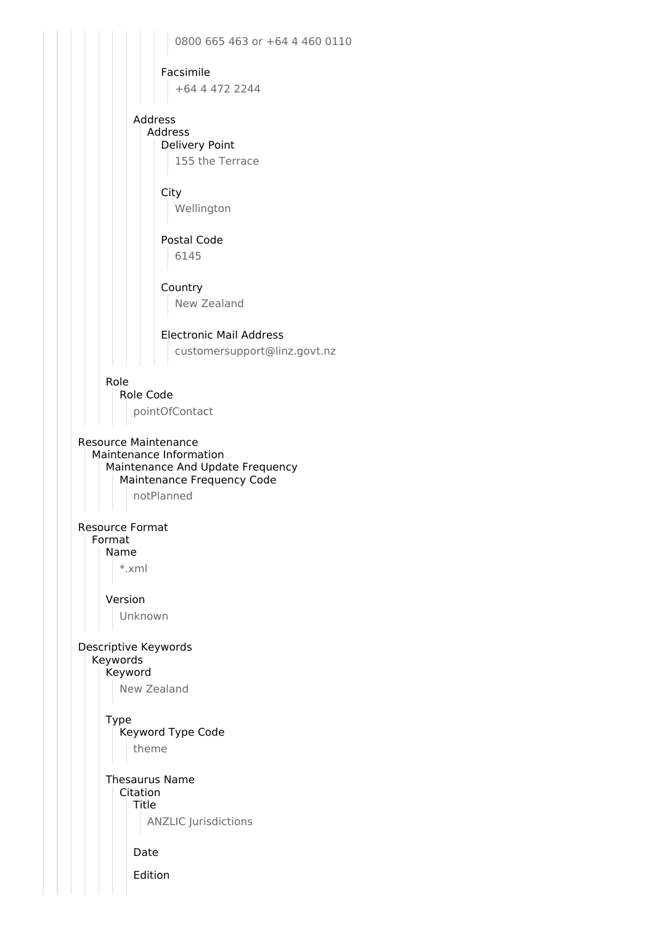0800 665 463 or +64 4 460 0110 Facsimile +64 4 472 2244 Address Address Delivery Point 155 the Terrace **City** Wellington Postal Code 6145 Country New Zealand Electronic Mail Address customersupport@linz.govt.nz Role Role Code pointOfContact Resource Maintenance Maintenance Information Maintenance And Update Frequency Maintenance Frequency Code notPlanned Resource Format Format Name \*.xml Version Unknown Descriptive Keywords Keywords Keyword New Zealand Type Keyword Type Code theme Thesaurus Name Citation Title ANZLIC Jurisdictions Date Edition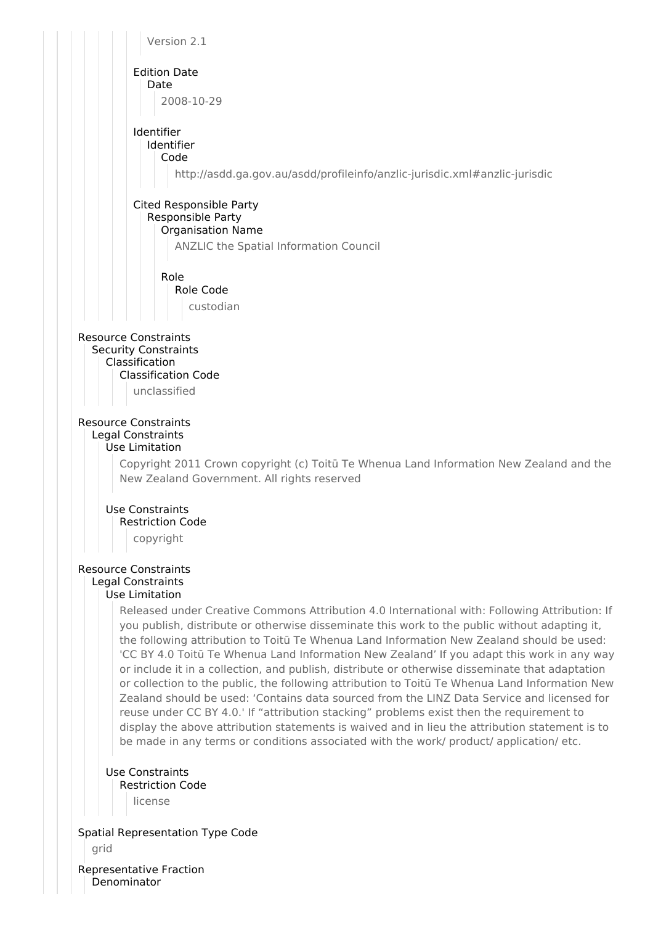

Denominator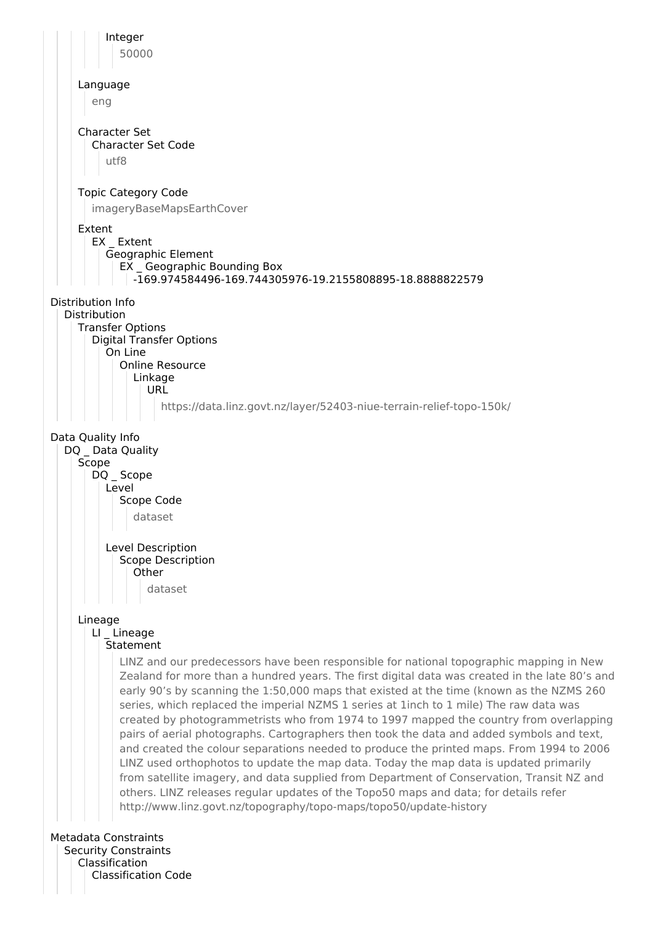